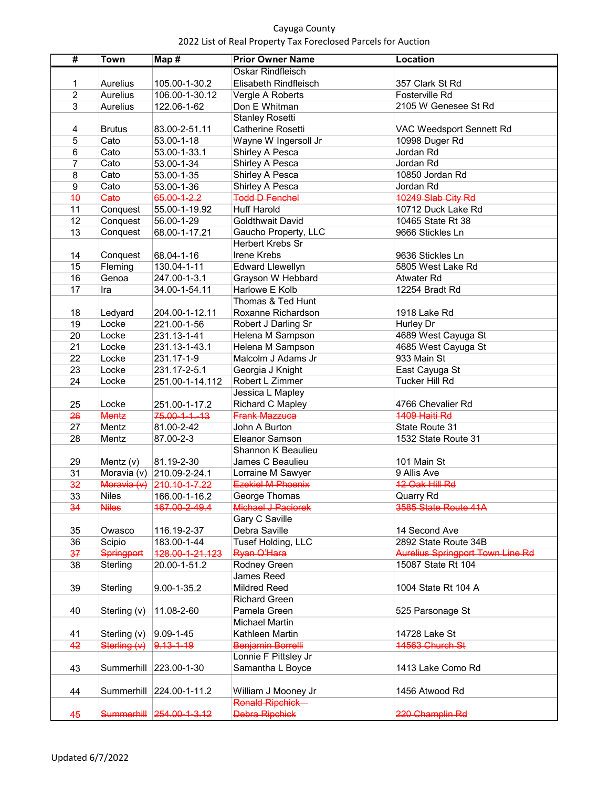## Cayuga County 2022 List of Real Property Tax Foreclosed Parcels for Auction

| #               | <b>Town</b>           | Map#                      | <b>Prior Owner Name</b>  | <b>Location</b>                            |
|-----------------|-----------------------|---------------------------|--------------------------|--------------------------------------------|
|                 |                       |                           | <b>Oskar Rindfleisch</b> |                                            |
| 1               | Aurelius              | 105.00-1-30.2             | Elisabeth Rindfleisch    | 357 Clark St Rd                            |
| $\overline{2}$  | Aurelius              | 106.00-1-30.12            | Vergle A Roberts         | Fosterville Rd                             |
| 3               | Aurelius              | 122.06-1-62               | Don E Whitman            | 2105 W Genesee St Rd                       |
|                 |                       |                           | <b>Stanley Rosetti</b>   |                                            |
| 4               |                       |                           | Catherine Rosetti        |                                            |
|                 | <b>Brutus</b><br>Cato | 83.00-2-51.11             |                          | VAC Weedsport Sennett Rd<br>10998 Duger Rd |
| 5               |                       | 53.00-1-18                | Wayne W Ingersoll Jr     | Jordan Rd                                  |
| 6               | Cato                  | 53.00-1-33.1              | Shirley A Pesca          |                                            |
| 7               | Cato                  | 53.00-1-34                | Shirley A Pesca          | Jordan Rd                                  |
| 8               | Cato                  | 53.00-1-35                | Shirley A Pesca          | 10850 Jordan Rd<br>Jordan Rd               |
| $\overline{9}$  | Cato                  | 53.00-1-36                | Shirley A Pesca          |                                            |
| 40              | Gate                  | 65.00-1-2.2               | <b>Todd D Fenchel</b>    | 10249 Slab City Rd                         |
| 11              | Conquest              | 55.00-1-19.92             | <b>Huff Harold</b>       | 10712 Duck Lake Rd                         |
| 12              | Conquest              | 56.00-1-29                | <b>Goldthwait David</b>  | 10465 State Rt 38                          |
| 13              | Conquest              | 68.00-1-17.21             | Gaucho Property, LLC     | 9666 Stickles Ln                           |
|                 |                       |                           | Herbert Krebs Sr         |                                            |
| 14              | Conquest              | 68.04-1-16                | Irene Krebs              | 9636 Stickles Ln                           |
| 15              | Fleming               | 130.04-1-11               | <b>Edward Llewellyn</b>  | 5805 West Lake Rd                          |
| 16              | Genoa                 | 247.00-1-3.1              | Grayson W Hebbard        | Atwater Rd                                 |
| 17              | Ira                   | 34.00-1-54.11             | Harlowe E Kolb           | 12254 Bradt Rd                             |
|                 |                       |                           | Thomas & Ted Hunt        |                                            |
| 18              | Ledyard               | 204.00-1-12.11            | Roxanne Richardson       | 1918 Lake Rd                               |
| 19              | Locke                 | 221.00-1-56               | Robert J Darling Sr      | Hurley Dr                                  |
| $\overline{20}$ | Locke                 | 231.13-1-41               | Helena M Sampson         | 4689 West Cayuga St                        |
| 21              | Locke                 | 231.13-1-43.1             | Helena M Sampson         | 4685 West Cayuga St                        |
| $\overline{22}$ | Locke                 | 231.17-1-9                | Malcolm J Adams Jr       | 933 Main St                                |
| 23              | Locke                 | 231.17-2-5.1              | Georgia J Knight         | East Cayuga St                             |
| 24              | Locke                 | 251.00-1-14.112           | Robert L Zimmer          | <b>Tucker Hill Rd</b>                      |
|                 |                       |                           | Jessica L Mapley         |                                            |
| 25              | Locke                 | 251.00-1-17.2             | Richard C Mapley         | 4766 Chevalier Rd                          |
| 26              | Mentz                 | $75.00 - 1 - 1 - 13$      | <b>Frank Mazzuca</b>     | 1409 Haiti Rd                              |
| 27              | Mentz                 | 81.00-2-42                | John A Burton            | State Route 31                             |
| 28              | Mentz                 | 87.00-2-3                 | Eleanor Samson           | 1532 State Route 31                        |
|                 |                       |                           | Shannon K Beaulieu       |                                            |
| 29              | Mentz $(v)$           | 81.19-2-30                | James C Beaulieu         | 101 Main St                                |
| 31              |                       | Moravia (v) 210.09-2-24.1 | Lorraine M Sawyer        | 9 Allis Ave                                |
| 32              | Moravia (v)           | 210.10-1-7.22             | <b>Ezekiel M Phoenix</b> | 12 Oak Hill Rd                             |
| 33              | <b>Niles</b>          | 166.00-1-16.2             | George Thomas            | Quarry Rd                                  |
| 34              | <b>Niles</b>          | 167.00-2-49.4             | Michael J Paciorek       | 3585 State Route 41A                       |
|                 |                       |                           | Gary C Saville           |                                            |
| 35              | Owasco                | 116.19-2-37               | Debra Saville            | 14 Second Ave                              |
| 36              | Scipio                | 183.00-1-44               | Tusef Holding, LLC       | 2892 State Route 34B                       |
| 37              | <b>Springport</b>     | 128.00-1-21.123           | Ryan O'Hara              | <b>Aurelius Springport Town Line Rd</b>    |
| 38              | Sterling              | 20.00-1-51.2              | Rodney Green             | 15087 State Rt 104                         |
|                 |                       |                           | James Reed               |                                            |
| 39              | Sterling              | 9.00-1-35.2               | <b>Mildred Reed</b>      | 1004 State Rt 104 A                        |
|                 |                       |                           | <b>Richard Green</b>     |                                            |
| 40              | Sterling (v)          | 11.08-2-60                | Pamela Green             | 525 Parsonage St                           |
|                 |                       |                           | <b>Michael Martin</b>    |                                            |
| 41              | Sterling (v)          | $9.09 - 1 - 45$           | Kathleen Martin          | 14728 Lake St                              |
| 42              | Sterling (v)          | $9.13 - 1 - 19$           | Benjamin Borrelli        | 14563 Church St                            |
|                 |                       |                           | Lonnie F Pittsley Jr     |                                            |
|                 |                       |                           |                          |                                            |
| 43              |                       | Summerhill 223.00-1-30    | Samantha L Boyce         | 1413 Lake Como Rd                          |
|                 |                       |                           |                          |                                            |
| 44              |                       | Summerhill 224.00-1-11.2  | William J Mooney Jr      | 1456 Atwood Rd                             |
|                 |                       |                           | <b>Ronald Ripchick</b>   |                                            |
| 45              |                       | Summerhill 254.00-1-3.12  | <b>Debra Ripchick</b>    | 220 Champlin Rd                            |